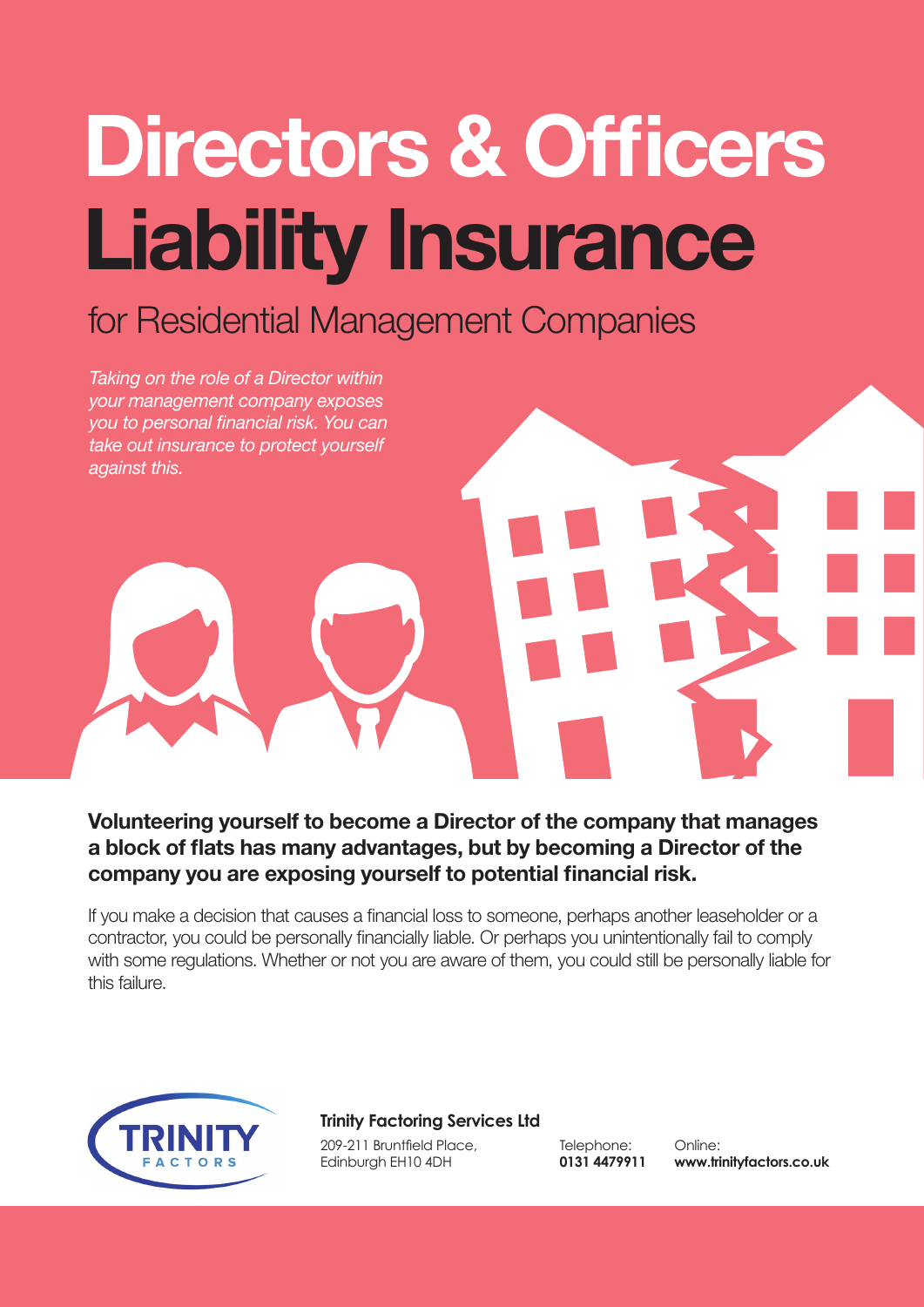# **Directors & Officers Liability Insurance**

## for Residential Management Companies

*Taking on the role of a Director within your management company exposes you to personal financial risk. You can take out insurance to protect yourself against this.*

**Volunteering yourself to become a Director of the company that manages a block of flats has many advantages, but by becoming a Director of the company you are exposing yourself to potential financial risk.** 

If you make a decision that causes a financial loss to someone, perhaps another leaseholder or a contractor, you could be personally financially liable. Or perhaps you unintentionally fail to comply with some regulations. Whether or not you are aware of them, you could still be personally liable for this failure.



#### **Trinity Factoring Services Ltd**

209-211 Bruntfield Place, Edinburgh EH10 4DH

Telephone: **0131 4479911**

Online: **www.trinityfactors.co.uk**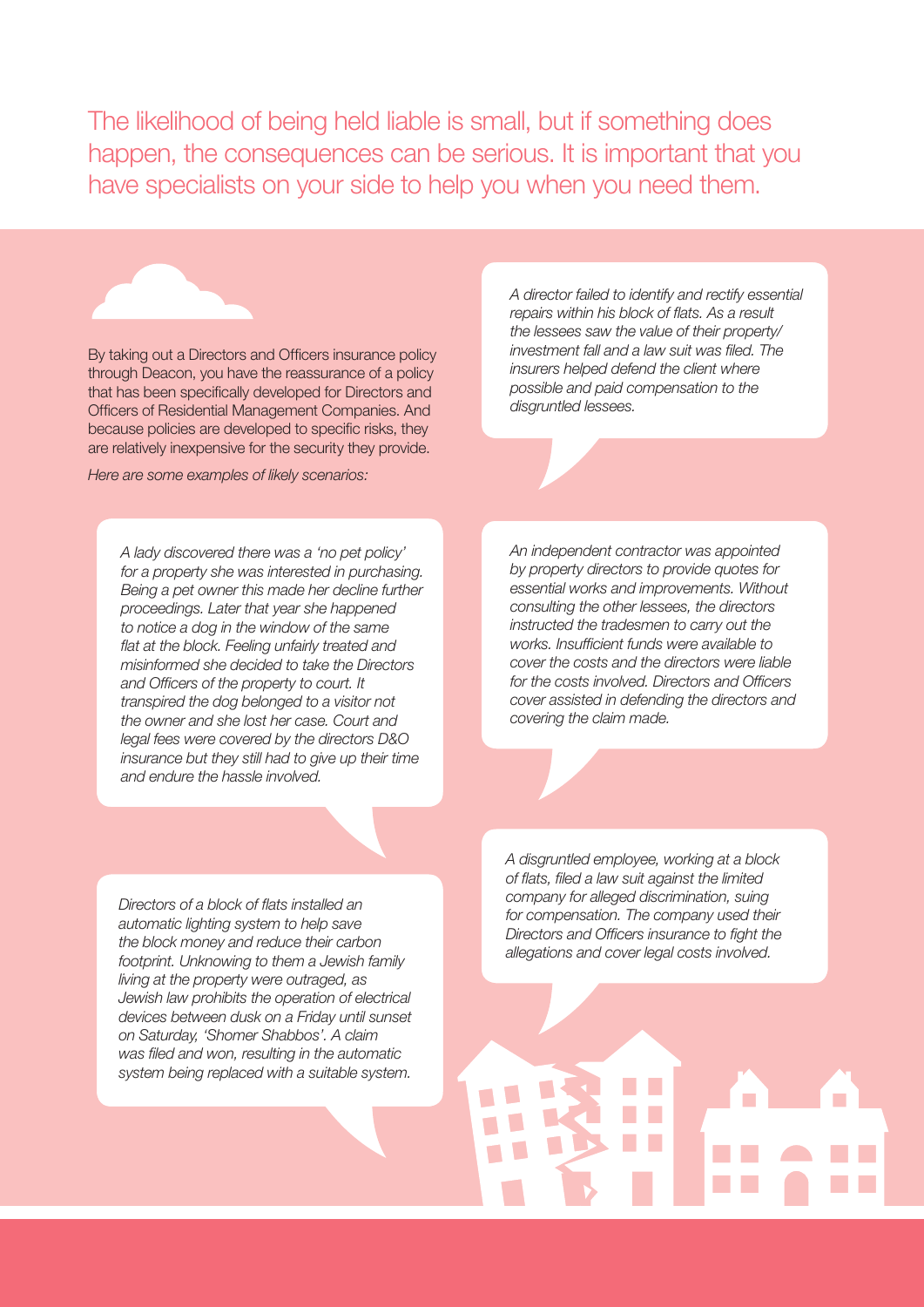The likelihood of being held liable is small, but if something does happen, the consequences can be serious. It is important that you have specialists on your side to help you when you need them.

By taking out a Directors and Officers insurance policy through Deacon, you have the reassurance of a policy that has been specifically developed for Directors and Officers of Residential Management Companies. And because policies are developed to specific risks, they are relatively inexpensive for the security they provide.

*Here are some examples of likely scenarios:*

*A lady discovered there was a 'no pet policy' for a property she was interested in purchasing. Being a pet owner this made her decline further proceedings. Later that year she happened to notice a dog in the window of the same flat at the block. Feeling unfairly treated and misinformed she decided to take the Directors and Officers of the property to court. It transpired the dog belonged to a visitor not the owner and she lost her case. Court and legal fees were covered by the directors D&O insurance but they still had to give up their time and endure the hassle involved.*

*A director failed to identify and rectify essential repairs within his block of flats. As a result the lessees saw the value of their property/ investment fall and a law suit was filed. The insurers helped defend the client where possible and paid compensation to the disgruntled lessees.*

*An independent contractor was appointed by property directors to provide quotes for essential works and improvements. Without consulting the other lessees, the directors instructed the tradesmen to carry out the works. Insufficient funds were available to cover the costs and the directors were liable for the costs involved. Directors and Officers cover assisted in defending the directors and covering the claim made.*

*Directors of a block of flats installed an automatic lighting system to help save the block money and reduce their carbon footprint. Unknowing to them a Jewish family living at the property were outraged, as Jewish law prohibits the operation of electrical devices between dusk on a Friday until sunset on Saturday, 'Shomer Shabbos'. A claim was filed and won, resulting in the automatic system being replaced with a suitable system.* 

*A disgruntled employee, working at a block of flats, filed a law suit against the limited company for alleged discrimination, suing for compensation. The company used their Directors and Officers insurance to fight the allegations and cover legal costs involved.*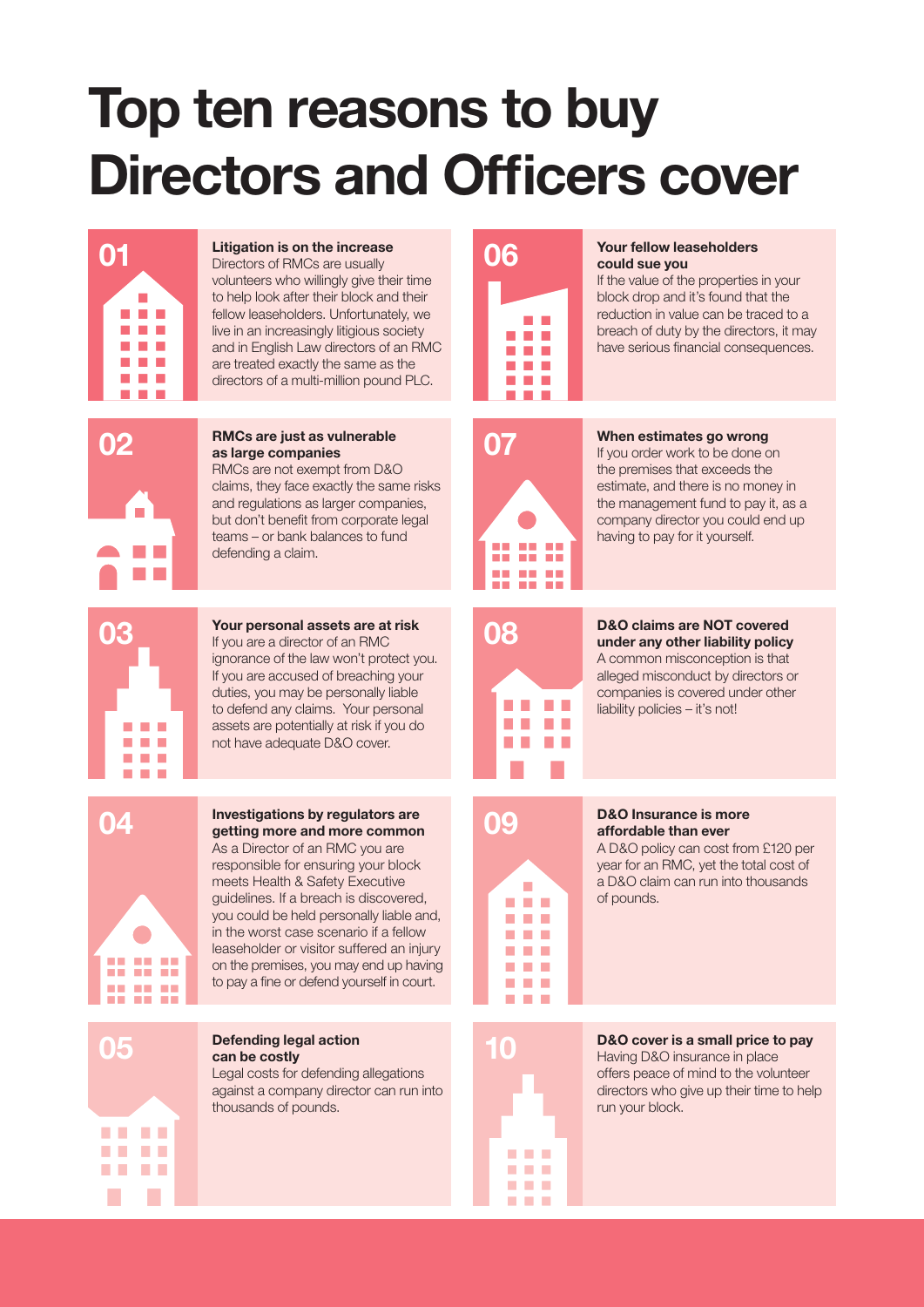## **Top ten reasons to buy Directors and Officers cover**



#### **Litigation is on the increase**

volunteers who willingly give their time to help look after their block and their fellow leaseholders. Unfortunately, we live in an increasingly litigious society and in English Law directors of an RMC are treated exactly the same as the directors of a multi-million pound PLC.



**RMCs are just as vulnerable as large companies** RMCs are not exempt from D&O claims, they face exactly the same risks **02 RMCs are just as vulnerable 18 assume to 18 assume that the stimates go wrong as large companies <b>18 assume to 18 assume the companies 18 assume to 18 assume the companies 18 assume to 18 assume the companies**

and regulations as larger companies, but don't benefit from corporate legal teams – or bank balances to fund defending a claim.



**Your personal assets are at risk** If you are a director of an RMC ignorance of the law won't protect you. If you are accused of breaching your duties, you may be personally liable to defend any claims. Your personal assets are potentially at risk if you do not have adequate D&O cover. **03 D&O claims are NOT covered**<br> **08 D&O claims are NOT covered**<br> **under any other liability policy** 



**Investigations by regulators are a definition definition by regulators are <b>are and more common D&O Insurance is more affordable than ever** 

As a Director of an RMC you are responsible for ensuring your block meets Health & Safety Executive guidelines. If a breach is discovered, you could be held personally liable and, in the worst case scenario if a fellow leaseholder or visitor suffered an injury on the premises, you may end up having to pay a fine or defend yourself in court.



**Defending legal action can be costly** 

Legal costs for defending allegations against a company director can run into thousands of pounds.



#### **01** Litigation is on the increase **1986 COO** Must be a second vertellow leaseholders **COO** Could sue you **could sue you**

If the value of the properties in your block drop and it's found that the reduction in value can be traced to a breach of duty by the directors, it may have serious financial consequences.



the premises that exceeds the estimate, and there is no money in the management fund to pay it, as a company director you could end up having to pay for it yourself.



A common misconception is that alleged misconduct by directors or companies is covered under other liability policies – it's not!



### **affordable than ever**

A D&O policy can cost from £120 per year for an RMC, yet the total cost of a D&O claim can run into thousands of pounds.



**05** Defending legal action **Defending legal action 10 D&O** cover is a small price to pay Having D&O insurance in place offers peace of mind to the volunteer directors who give up their time to help run your block.